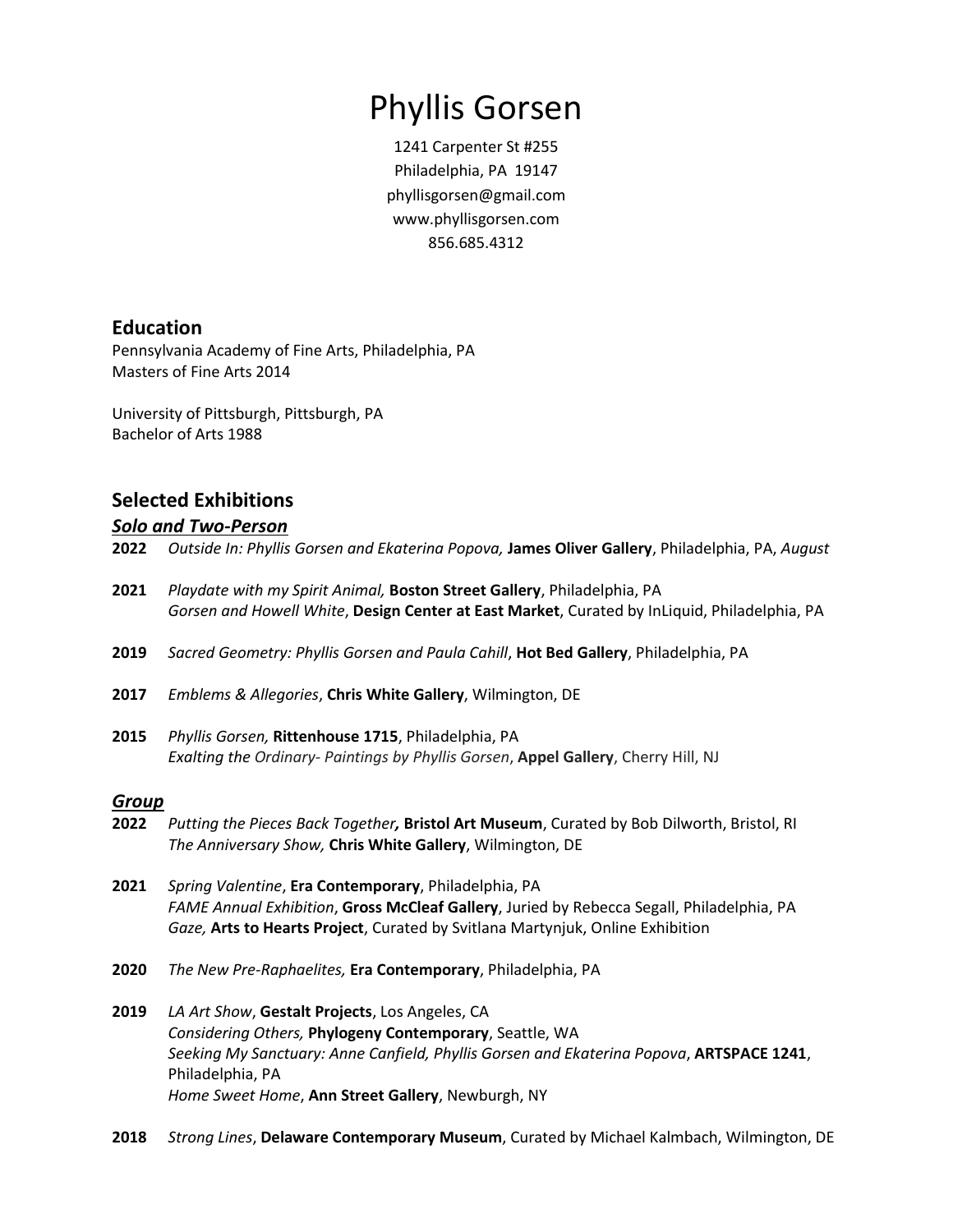# Phyllis Gorsen

1241 Carpenter St #255 Philadelphia, PA 19147 [phyllisgorsen@gmail.com](mailto:phyllisgorsen@gmail.com) www.phyllisgorsen.com 856.685.4312

### **Education**

Pennsylvania Academy of Fine Arts, Philadelphia, PA Masters of Fine Arts 2014

University of Pittsburgh, Pittsburgh, PA Bachelor of Arts 1988

## **Selected Exhibitions**

#### *Solo and Two-Person*

- **2022** *Outside In: Phyllis Gorsen and Ekaterina Popova,* **James Oliver Gallery**, Philadelphia, PA, *August*
- **2021** *Playdate with my Spirit Animal,* **Boston Street Gallery**, Philadelphia, PA *Gorsen and Howell White*, **Design Center at East Market**, Curated by InLiquid, Philadelphia, PA
- **2019** *Sacred Geometry: Phyllis Gorsen and Paula Cahill*, **Hot Bed Gallery**, Philadelphia, PA
- **2017** *Emblems & Allegories*, **Chris White Gallery**, Wilmington, DE
- **2015** *Phyllis Gorsen,* **Rittenhouse 1715**, Philadelphia, PA *Exalting the Ordinary- Paintings by Phyllis Gorsen*, **Appel Gallery**, Cherry Hill, NJ

#### *Group*

- **2022** *Putting the Pieces Back Together,* **Bristol Art Museum**, Curated by Bob Dilworth, Bristol, RI *The Anniversary Show,* **Chris White Gallery**, Wilmington, DE
- **2021** *Spring Valentine*, **Era Contemporary**, Philadelphia, PA *FAME Annual Exhibition*, **Gross McCleaf Gallery**, Juried by Rebecca Segall, Philadelphia, PA *Gaze,* **Arts to Hearts Project**, Curated by Svitlana Martynjuk, Online Exhibition
- **2020** *The New Pre-Raphaelites,* **Era Contemporary**, Philadelphia, PA
- **2019** *LA Art Show*, **Gestalt Projects**, Los Angeles, CA *Considering Others,* **Phylogeny Contemporary**, Seattle, WA *Seeking My Sanctuary: Anne Canfield, Phyllis Gorsen and Ekaterina Popova*, **ARTSPACE 1241**, Philadelphia, PA *Home Sweet Home*, **Ann Street Gallery**, Newburgh, NY
- **2018** *Strong Lines*, **Delaware Contemporary Museum**, Curated by Michael Kalmbach, Wilmington, DE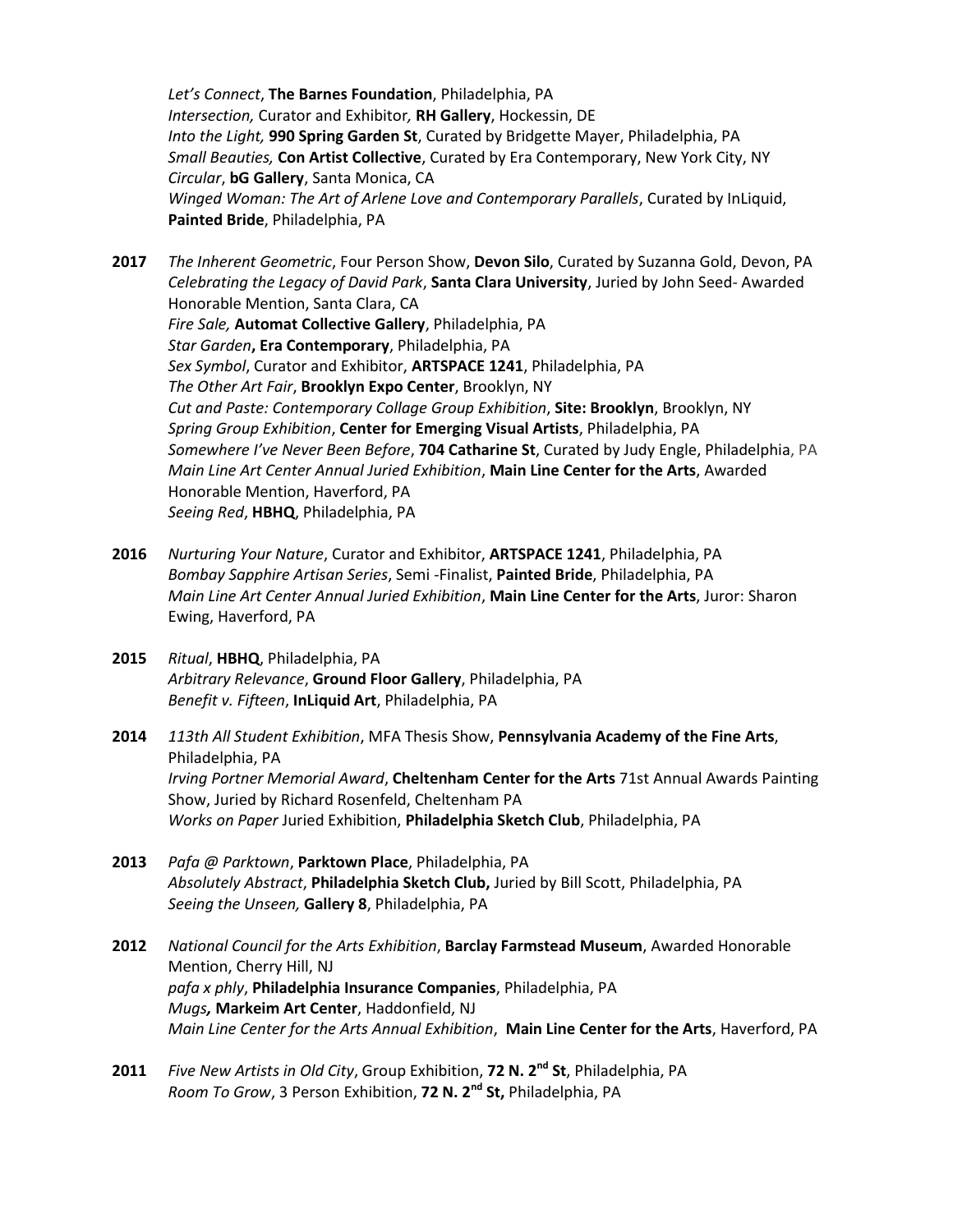*Let's Connect*, **The Barnes Foundation**, Philadelphia, PA *Intersection,* Curator and Exhibitor*,* **RH Gallery**, Hockessin, DE *Into the Light,* **990 Spring Garden St**, Curated by Bridgette Mayer, Philadelphia, PA *Small Beauties,* **Con Artist Collective**, Curated by Era Contemporary, New York City, NY *Circular*, **bG Gallery**, Santa Monica, CA *Winged Woman: The Art of Arlene Love and Contemporary Parallels*, Curated by InLiquid, **Painted Bride**, Philadelphia, PA

**2017** *The Inherent Geometric*, Four Person Show, **Devon Silo**, Curated by Suzanna Gold, Devon, PA *Celebrating the Legacy of David Park*, **Santa Clara University**, Juried by John Seed- Awarded Honorable Mention, Santa Clara, CA *Fire Sale,* **Automat Collective Gallery**, Philadelphia, PA *Star Garden***, Era Contemporary**, Philadelphia, PA *Sex Symbol*, Curator and Exhibitor, **ARTSPACE 1241**, Philadelphia, PA *The Other Art Fair*, **Brooklyn Expo Center**, Brooklyn, NY *Cut and Paste: Contemporary Collage Group Exhibition*, **Site: Brooklyn**, Brooklyn, NY *Spring Group Exhibition*, **Center for Emerging Visual Artists**, Philadelphia, PA *Somewhere I've Never Been Before*, **704 Catharine St**, Curated by Judy Engle, Philadelphia, PA *Main Line Art Center Annual Juried Exhibition*, **Main Line Center for the Arts**, Awarded Honorable Mention, Haverford, PA *Seeing Red*, **HBHQ**, Philadelphia, PA

- **2016** *Nurturing Your Nature*, Curator and Exhibitor, **ARTSPACE 1241**, Philadelphia, PA *Bombay Sapphire Artisan Series*, Semi -Finalist, **Painted Bride**, Philadelphia, PA *Main Line Art Center Annual Juried Exhibition*, **Main Line Center for the Arts**, Juror: Sharon Ewing, Haverford, PA
- **2015** *Ritual*, **HBHQ**, Philadelphia, PA *Arbitrary Relevance*, **Ground Floor Gallery**, Philadelphia, PA *Benefit v. Fifteen*, **InLiquid Art**, Philadelphia, PA
- **2014** *113th All Student Exhibition*, MFA Thesis Show, **Pennsylvania Academy of the Fine Arts**, Philadelphia, PA *Irving Portner Memorial Award*, **Cheltenham Center for the Arts** 71st Annual Awards Painting Show, Juried by Richard Rosenfeld, Cheltenham PA *Works on Paper* Juried Exhibition, **Philadelphia Sketch Club**, Philadelphia, PA
- **2013** *Pafa @ Parktown*, **Parktown Place**, Philadelphia, PA *Absolutely Abstract*, **Philadelphia Sketch Club,** Juried by Bill Scott, Philadelphia, PA *Seeing the Unseen,* **Gallery 8**, Philadelphia, PA
- **2012** *National Council for the Arts Exhibition*, **Barclay Farmstead Museum**, Awarded Honorable Mention, Cherry Hill, NJ *pafa x phly*, **Philadelphia Insurance Companies**, Philadelphia, PA *Mugs,* **Markeim Art Center**, Haddonfield, NJ *Main Line Center for the Arts Annual Exhibition*, **Main Line Center for the Arts**, Haverford, PA
- **2011** *Five New Artists in Old City*, Group Exhibition, **72 N. 2nd St**, Philadelphia, PA *Room To Grow*, 3 Person Exhibition, **72 N. 2nd St,** Philadelphia, PA